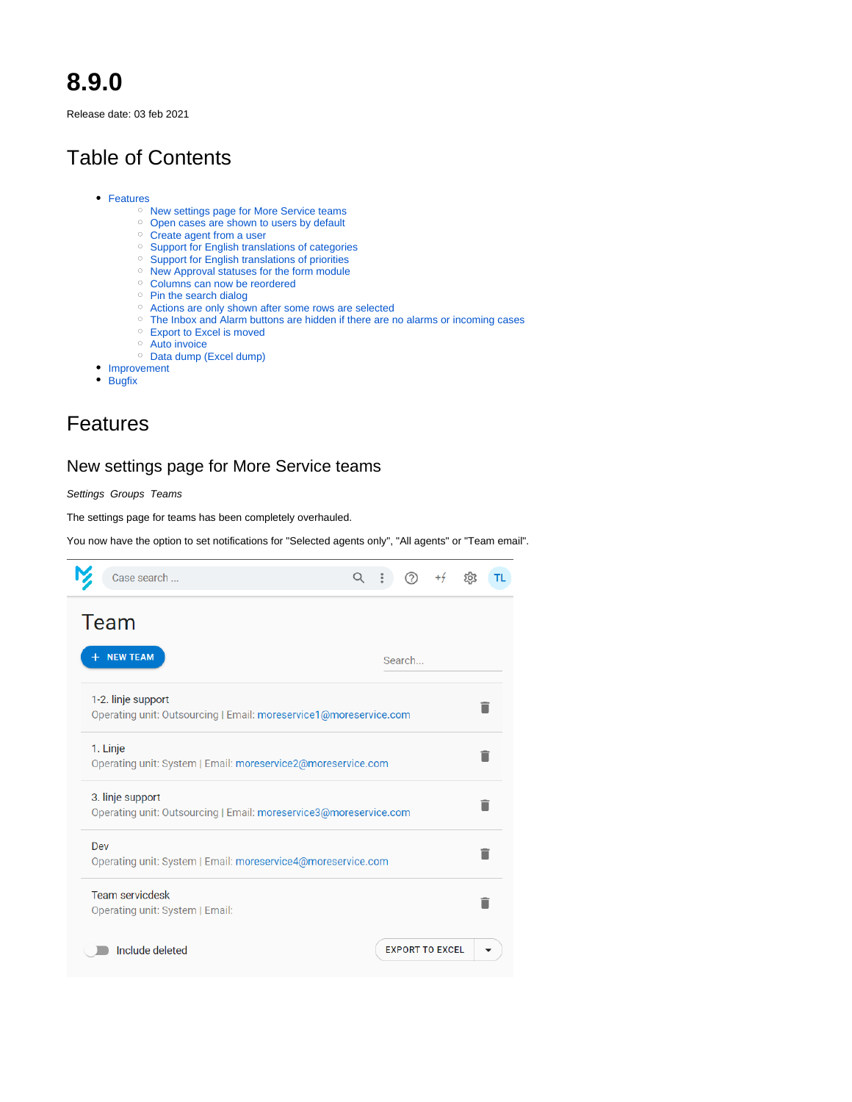# **8.9.0**

Release date: 03 feb 2021

# Table of Contents

- [Features](#page-0-0)
	- <sup>o</sup> New settings page for More Service teams
	- <sup>o</sup> [Open cases are shown to users by default](#page-0-2)
	- <sup>o</sup> [Create agent from a user](#page-1-0)
	- [Support for English translations of categories](#page-1-1)
	- [Support for English translations of priorities](#page-2-0)
	- <sup>o</sup> [New Approval statuses for the form module](#page-3-0)
	- <sup>o</sup> Columns can now be reordered
	- <sup>o</sup> [Pin the search dialog](#page-4-1)
	- [Actions are only shown after some rows are selected](#page-5-0)
	- <sup>o</sup> [The Inbox and Alarm buttons are hidden if there are no alarms or incoming cases](#page-5-1)
	- [Export to Excel is moved](#page-5-2)
	- [Auto invoice](#page-6-0)
	- <sup>o</sup> [Data dump \(Excel dump\)](#page-6-1)
- [Improvement](#page-6-2)
- [Bugfix](#page-7-0)

# <span id="page-0-0"></span>Features

### <span id="page-0-1"></span>New settings page for More Service teams

Settings Groups Teams

The settings page for teams has been completely overhauled.

You now have the option to set notifications for "Selected agents only", "All agents" or "Team email".

<span id="page-0-2"></span>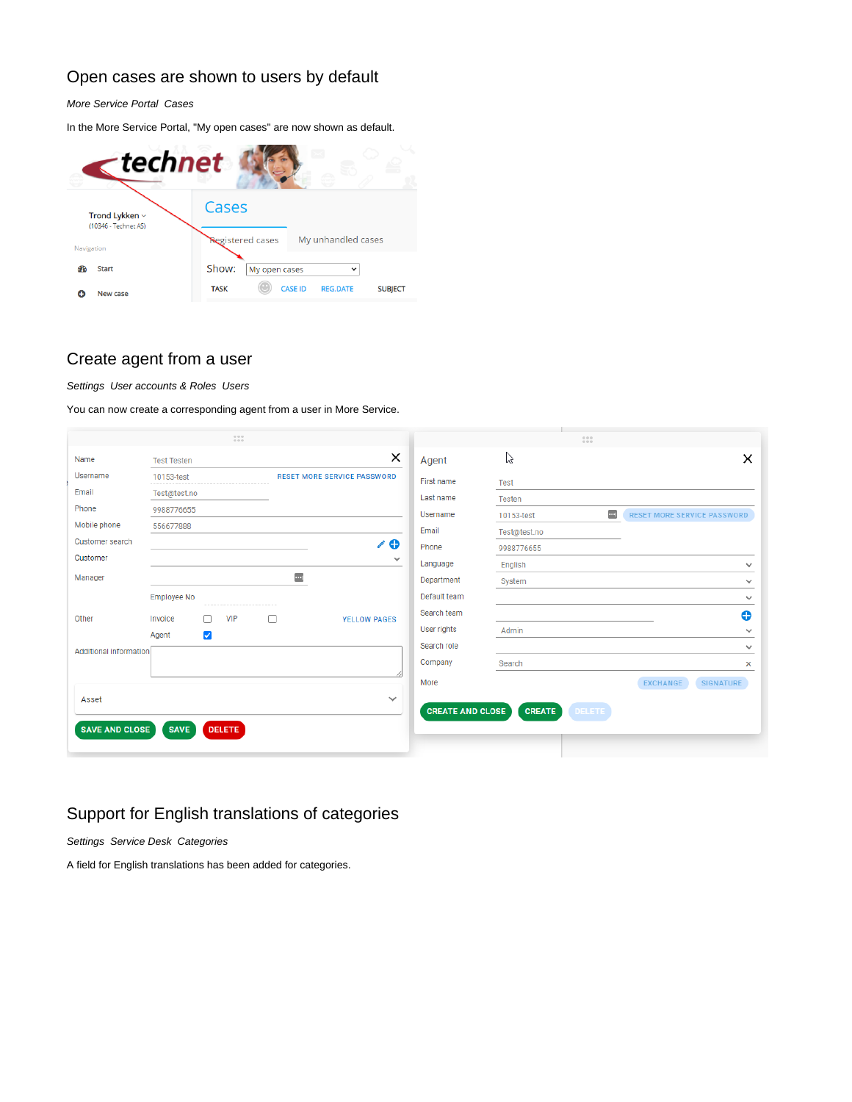## Open cases are shown to users by default

More Service Portal Cases

In the More Service Portal, "My open cases" are now shown as default.



### <span id="page-1-0"></span>Create agent from a user

Settings User accounts & Roles Users

You can now create a corresponding agent from a user in More Service.

|                        | 1.11                          |                                    |                         | 111                                          |                                    |
|------------------------|-------------------------------|------------------------------------|-------------------------|----------------------------------------------|------------------------------------|
| Name                   | <b>Test Testen</b>            | ×                                  | Agent                   | た                                            | $\times$                           |
| Username               | 10153-test                    | <b>RESET MORE SERVICE PASSWORD</b> | First name              | <b>Test</b>                                  |                                    |
| Email                  | Test@test.no                  |                                    | Last name               | Testen                                       |                                    |
| Phone                  | 9988776655                    |                                    | Username                | $\left\vert \cdots\right\vert$<br>10153-test | <b>RESET MORE SERVICE PASSWORD</b> |
| Mobile phone           | 556677888                     |                                    | Email                   | Test@test.no                                 |                                    |
| <b>Customer search</b> |                               | 10                                 | Phone                   | 9988776655                                   |                                    |
| Customer               |                               | $\checkmark$                       | Language                | English                                      | $\checkmark$                       |
| Manager                |                               | $\sim$                             | Department              | System                                       | $\checkmark$                       |
|                        | Employee No                   |                                    | Default team            |                                              | $\checkmark$                       |
| Other                  | <b>VIP</b><br>Invoice<br>Γl   | <b>YELLOW PAGES</b>                | Search team             |                                              | Ð                                  |
|                        | $\blacktriangledown$<br>Agent |                                    | User rights             | Admin                                        | $\checkmark$                       |
| Additional information |                               |                                    | Search role             |                                              | $\checkmark$                       |
|                        |                               |                                    | Company                 | Search                                       | x                                  |
|                        |                               |                                    | More                    |                                              | <b>EXCHANGE</b><br>SIGNATURE       |
| Asset                  |                               | $\checkmark$                       |                         |                                              |                                    |
|                        |                               |                                    | <b>CREATE AND CLOSE</b> | <b>CREATE</b><br><b>DELETE</b>               |                                    |
| <b>SAVE AND CLOSE</b>  | <b>SAVE</b><br><b>DELETE</b>  |                                    |                         |                                              |                                    |
|                        |                               |                                    |                         |                                              |                                    |

## <span id="page-1-1"></span>Support for English translations of categories

Settings Service Desk Categories

A field for English translations has been added for categories.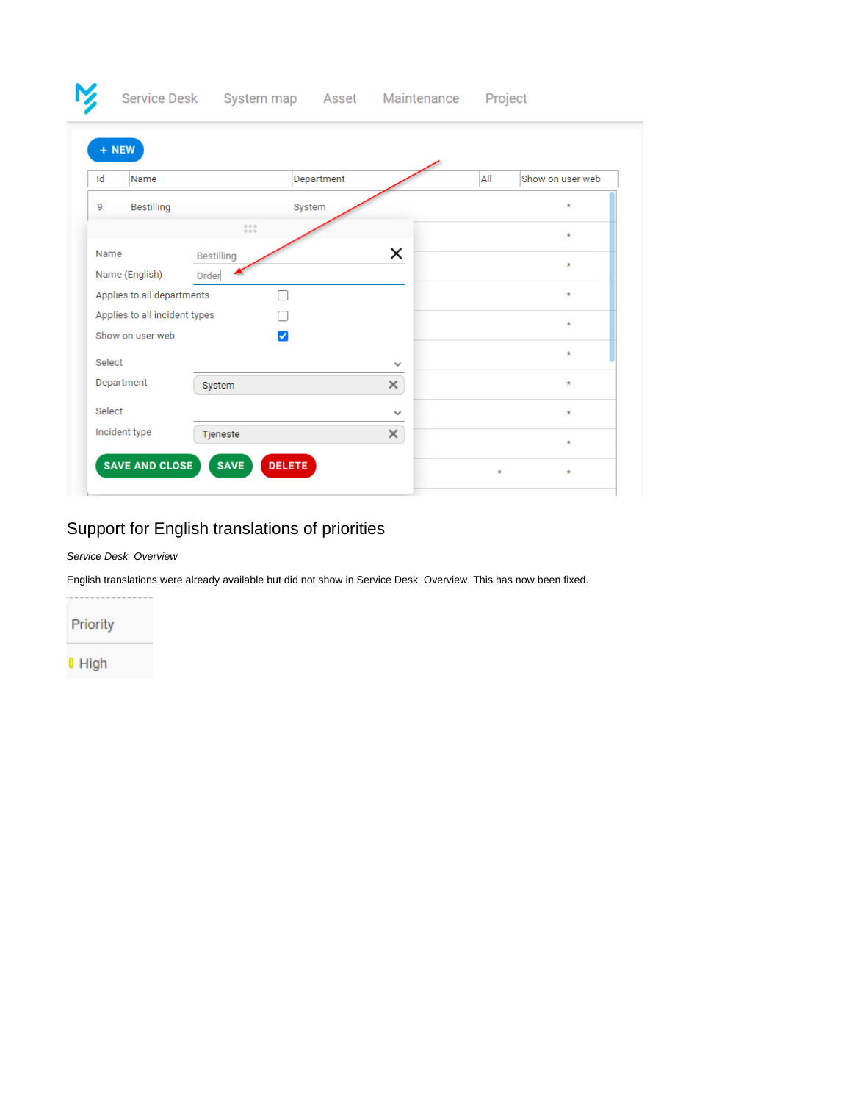| + NEW                                        |                                                                |              |     |                  |
|----------------------------------------------|----------------------------------------------------------------|--------------|-----|------------------|
| Id<br>Name                                   |                                                                | Department   | All | Show on user web |
| Bestilling<br>9                              | System                                                         |              |     | $\star$          |
|                                              | $\begin{smallmatrix} 0 & 0 & 0 \\ 0 & 0 & 0 \end{smallmatrix}$ |              |     | $\star$          |
| Name                                         | <b>Bestilling</b>                                              | ×            |     | $\star$          |
| Name (English)<br>Applies to all departments | Order                                                          |              |     | $\star$          |
| Applies to all incident types                |                                                                |              |     | $\star$          |
| Show on user web                             | ✓                                                              |              |     | $\star$          |
| Select                                       |                                                                | $\checkmark$ |     |                  |
| Department                                   | System                                                         | ×            |     | $\star$          |
| Select                                       |                                                                | $\checkmark$ |     | $\star$          |
| Incident type                                | Tjeneste                                                       | ×            |     |                  |

# <span id="page-2-0"></span>Support for English translations of priorities

#### Service Desk Overview

English translations were already available but did not show in Service Desk Overview. This has now been fixed.

Priority

M,

 $0$  High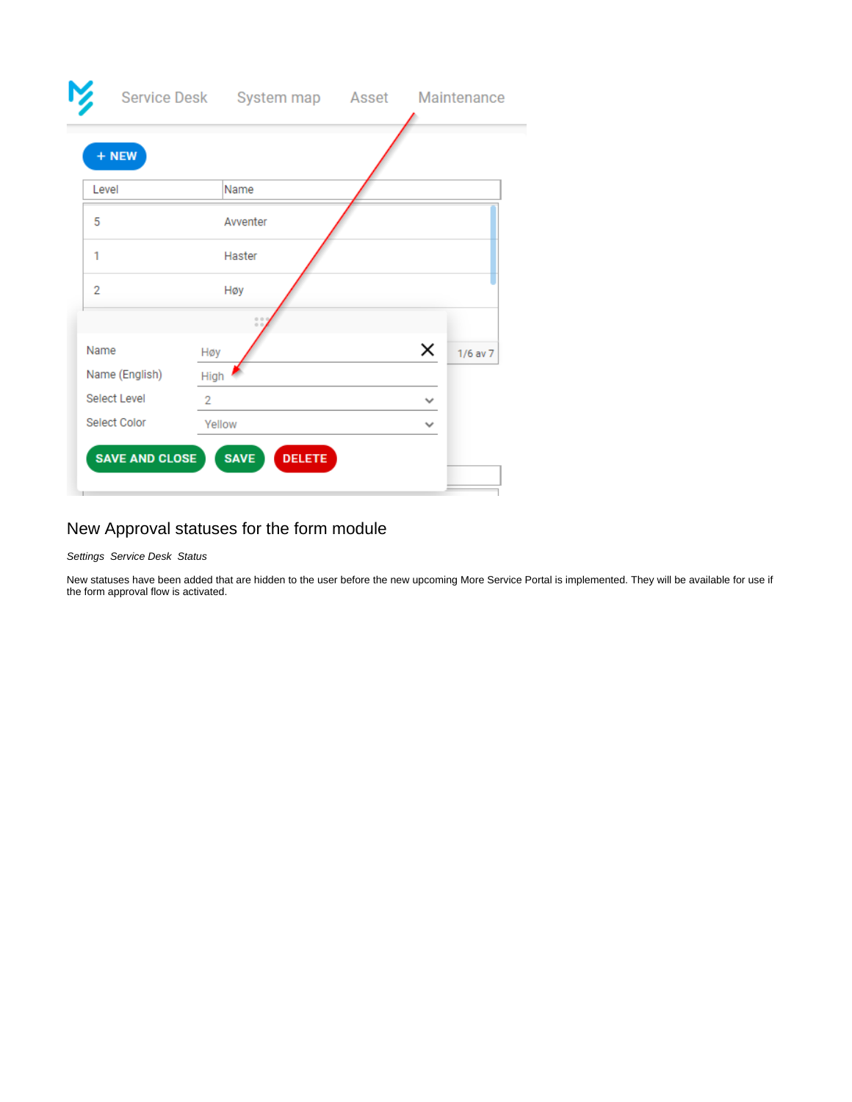| + NEW               |                |              |              |
|---------------------|----------------|--------------|--------------|
| Level               | Name           |              |              |
| 5                   | Avventer       |              |              |
| 1                   | Haster         |              |              |
| $\overline{2}$      | Høy            |              |              |
|                     |                |              |              |
| Name                | Høy            | ×            | $1/6$ av $7$ |
| Name (English)      | High           |              |              |
| <b>Select Level</b> | $\overline{2}$ | $\checkmark$ |              |
| <b>Select Color</b> | Yellow         | v            |              |

## <span id="page-3-0"></span>New Approval statuses for the form module

#### Settings Service Desk Status

New statuses have been added that are hidden to the user before the new upcoming More Service Portal is implemented. They will be available for use if the form approval flow is activated.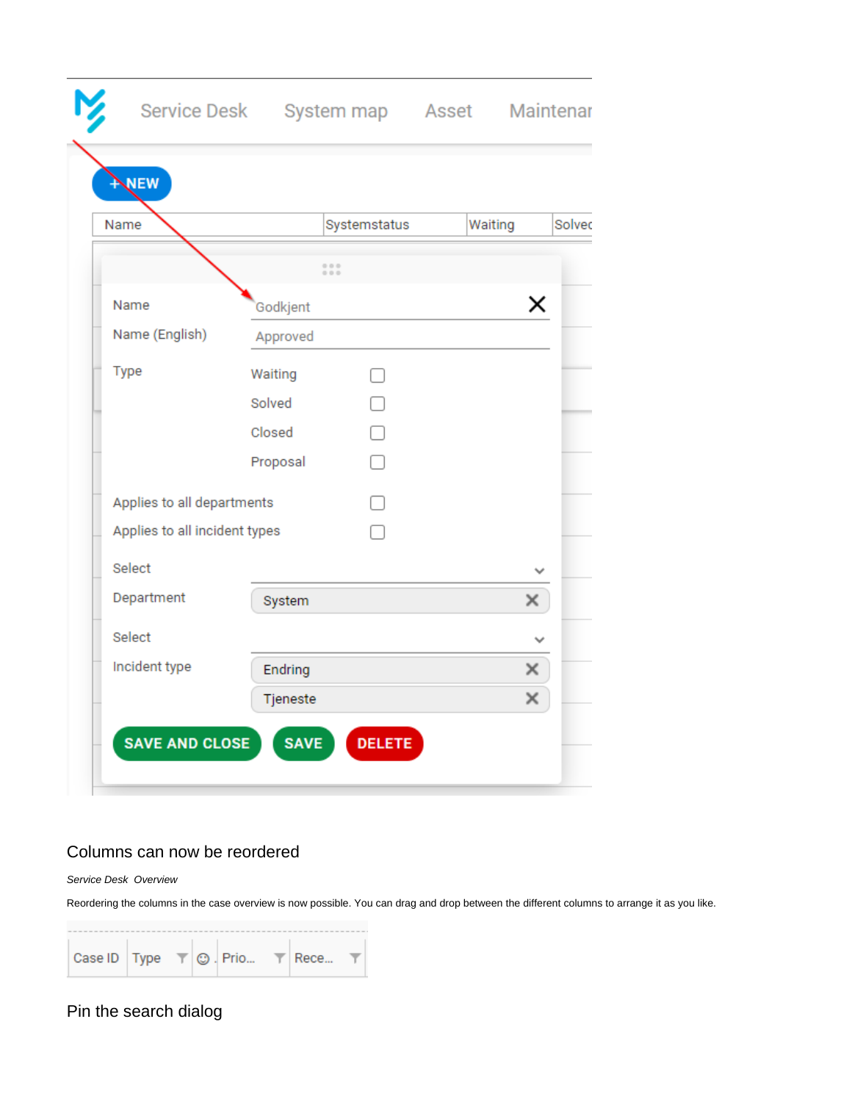| NEW                           |          |                |         |        |
|-------------------------------|----------|----------------|---------|--------|
| Name                          |          | Systemstatus   | Waiting | Solvec |
|                               |          | 0.0.0<br>0.0.0 |         |        |
| Name                          | Godkjent |                |         | ×      |
| Name (English)                | Approved |                |         |        |
| Type                          | Waiting  | $\Box$         |         |        |
|                               | Solved   | □              |         |        |
|                               | Closed   |                |         |        |
|                               | Proposal | □              |         |        |
| Applies to all departments    |          |                |         |        |
| Applies to all incident types |          |                |         |        |
| Select                        |          |                |         |        |
| Department                    | System   |                | ×       |        |
| Select                        |          |                |         |        |
| Incident type                 | Endring  |                | ×       |        |
|                               | Tjeneste |                | ×       |        |

## <span id="page-4-0"></span>Columns can now be reordered

Service Desk Overview

Reordering the columns in the case overview is now possible. You can drag and drop between the different columns to arrange it as you like.

<span id="page-4-1"></span>Pin the search dialog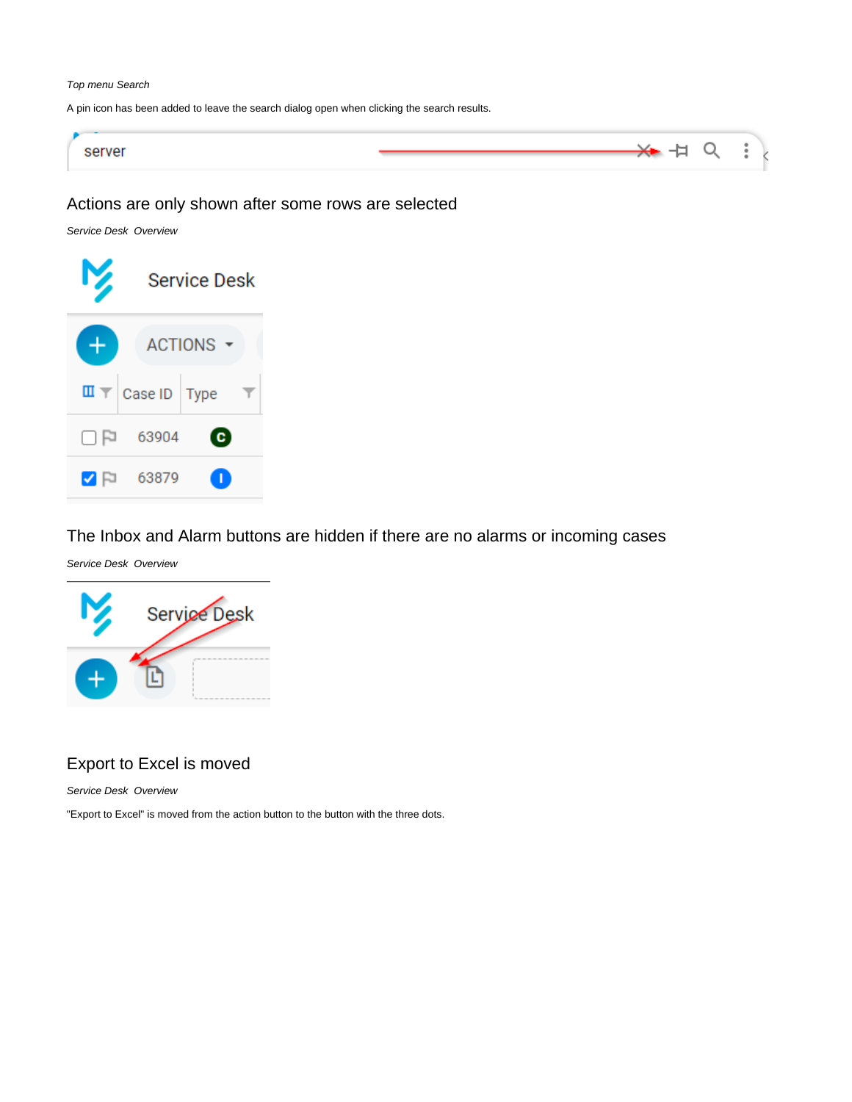#### Top menu Search

A pin icon has been added to leave the search dialog open when clicking the search results.



### <span id="page-5-0"></span>Actions are only shown after some rows are selected

Service Desk Overview



<span id="page-5-1"></span>The Inbox and Alarm buttons are hidden if there are no alarms or incoming cases

Service Desk Overview



## <span id="page-5-2"></span>Export to Excel is moved

Service Desk Overview

"Export to Excel" is moved from the action button to the button with the three dots.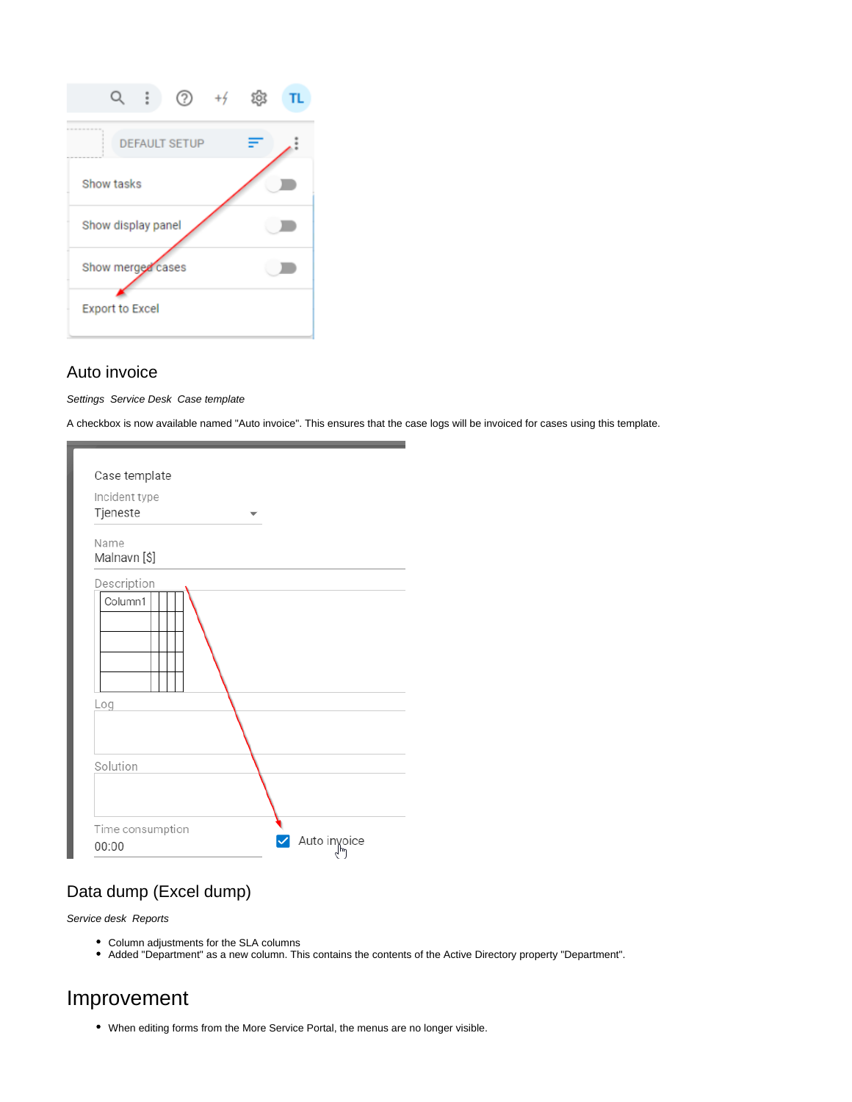

### <span id="page-6-0"></span>Auto invoice

Settings Service Desk Case template

A checkbox is now available named "Auto invoice". This ensures that the case logs will be invoiced for cases using this template.

| Case template             |  |              |
|---------------------------|--|--------------|
| Incident type<br>Tjeneste |  |              |
| Name<br>Malnavn [\$]      |  |              |
| Description               |  |              |
| Column1                   |  |              |
| Log                       |  |              |
| Solution                  |  |              |
| Time consumption<br>00:00 |  | Auto invoice |

## <span id="page-6-1"></span>Data dump (Excel dump)

Service desk Reports

- Column adjustments for the SLA columns
- Added "Department" as a new column. This contains the contents of the Active Directory property "Department".

# <span id="page-6-2"></span>Improvement

When editing forms from the More Service Portal, the menus are no longer visible.